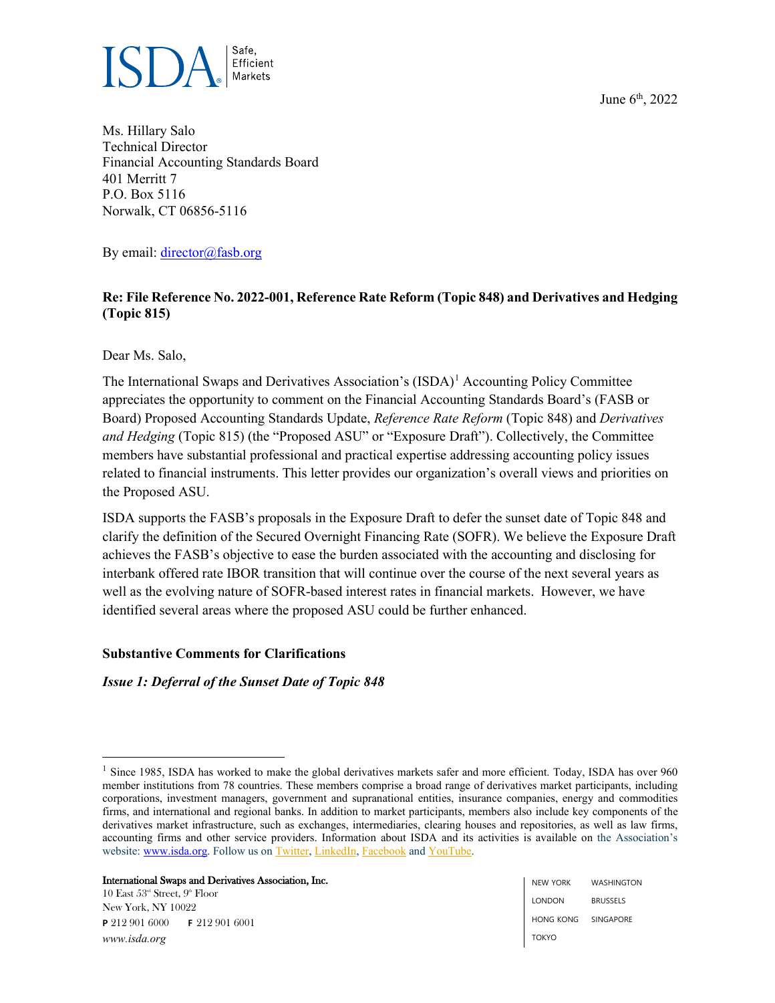June 6<sup>th</sup>, 2022



Ms. Hillary Salo Technical Director Financial Accounting Standards Board 401 Merritt 7 P.O. Box 5116 Norwalk, CT 06856-5116

By email: [director@fasb.org](mailto:director@fasb.org)

# **Re: File Reference No. 2022-001, Reference Rate Reform (Topic 848) and Derivatives and Hedging (Topic 815)**

Dear Ms. Salo,

The International Swaps and Derivatives Association's  $(ISDA)^1$  $(ISDA)^1$  Accounting Policy Committee appreciates the opportunity to comment on the Financial Accounting Standards Board's (FASB or Board) Proposed Accounting Standards Update, *Reference Rate Reform* (Topic 848) and *Derivatives and Hedging* (Topic 815) (the "Proposed ASU" or "Exposure Draft"). Collectively, the Committee members have substantial professional and practical expertise addressing accounting policy issues related to financial instruments. This letter provides our organization's overall views and priorities on the Proposed ASU.

ISDA supports the FASB's proposals in the Exposure Draft to defer the sunset date of Topic 848 and clarify the definition of the Secured Overnight Financing Rate (SOFR). We believe the Exposure Draft achieves the FASB's objective to ease the burden associated with the accounting and disclosing for interbank offered rate IBOR transition that will continue over the course of the next several years as well as the evolving nature of SOFR-based interest rates in financial markets. However, we have identified several areas where the proposed ASU could be further enhanced.

# **Substantive Comments for Clarifications**

*Issue 1: Deferral of the Sunset Date of Topic 848*

International Swaps and Derivatives Association, Inc.

<span id="page-0-0"></span><sup>&</sup>lt;sup>1</sup> Since 1985, ISDA has worked to make the global derivatives markets safer and more efficient. Today, ISDA has over 960 member institutions from 78 countries. These members comprise a broad range of derivatives market participants, including corporations, investment managers, government and supranational entities, insurance companies, energy and commodities firms, and international and regional banks. In addition to market participants, members also include key components of the derivatives market infrastructure, such as exchanges, intermediaries, clearing houses and repositories, as well as law firms, accounting firms and other service providers. Information about ISDA and its activities is available on the Association's website: [www.isda.org.](http://www.isda.org/) Follow us on [Twitter,](https://twitter.com/isda) [LinkedIn,](https://www.linkedin.com/company/isda) [Facebook](https://www.facebook.com/ISDA.org/) and [YouTube.](https://www.youtube.com/channel/UCg5freZEYaKSWfdtH-0gsxg)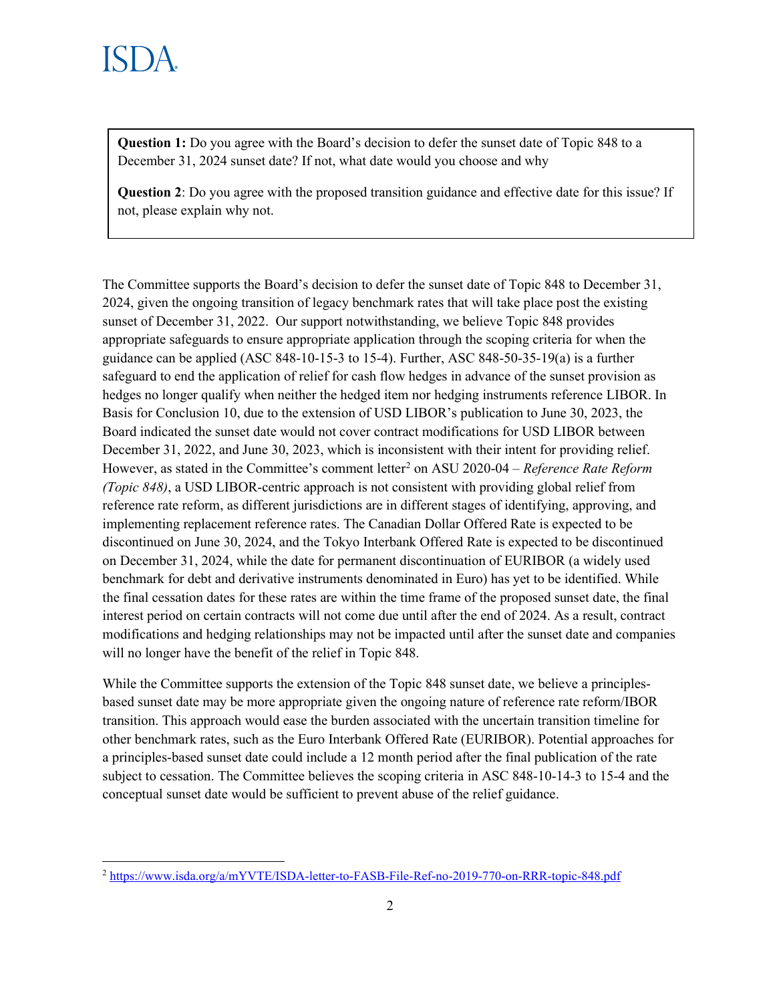**Question 1:** Do you agree with the Board's decision to defer the sunset date of Topic 848 to a December 31, 2024 sunset date? If not, what date would you choose and why

**Question 2**: Do you agree with the proposed transition guidance and effective date for this issue? If not, please explain why not.

The Committee supports the Board's decision to defer the sunset date of Topic 848 to December 31, 2024, given the ongoing transition of legacy benchmark rates that will take place post the existing sunset of December 31, 2022. Our support notwithstanding, we believe Topic 848 provides appropriate safeguards to ensure appropriate application through the scoping criteria for when the guidance can be applied (ASC 848-10-15-3 to 15-4). Further, ASC 848-50-35-19(a) is a further safeguard to end the application of relief for cash flow hedges in advance of the sunset provision as hedges no longer qualify when neither the hedged item nor hedging instruments reference LIBOR. In Basis for Conclusion 10, due to the extension of USD LIBOR's publication to June 30, 2023, the Board indicated the sunset date would not cover contract modifications for USD LIBOR between December 31, 2022, and June 30, 2023, which is inconsistent with their intent for providing relief. However, as stated in the Committee's comment letter<sup>[2](#page-1-0)</sup> on ASU 2020-04 – *Reference Rate Reform (Topic 848)*, a USD LIBOR-centric approach is not consistent with providing global relief from reference rate reform, as different jurisdictions are in different stages of identifying, approving, and implementing replacement reference rates. The Canadian Dollar Offered Rate is expected to be discontinued on June 30, 2024, and the Tokyo Interbank Offered Rate is expected to be discontinued on December 31, 2024, while the date for permanent discontinuation of EURIBOR (a widely used benchmark for debt and derivative instruments denominated in Euro) has yet to be identified. While the final cessation dates for these rates are within the time frame of the proposed sunset date, the final interest period on certain contracts will not come due until after the end of 2024. As a result, contract modifications and hedging relationships may not be impacted until after the sunset date and companies will no longer have the benefit of the relief in Topic 848.

While the Committee supports the extension of the Topic 848 sunset date, we believe a principlesbased sunset date may be more appropriate given the ongoing nature of reference rate reform/IBOR transition. This approach would ease the burden associated with the uncertain transition timeline for other benchmark rates, such as the Euro Interbank Offered Rate (EURIBOR). Potential approaches for a principles-based sunset date could include a 12 month period after the final publication of the rate subject to cessation. The Committee believes the scoping criteria in ASC 848-10-14-3 to 15-4 and the conceptual sunset date would be sufficient to prevent abuse of the relief guidance.

<span id="page-1-0"></span><sup>2</sup> <https://www.isda.org/a/mYVTE/ISDA-letter-to-FASB-File-Ref-no-2019-770-on-RRR-topic-848.pdf>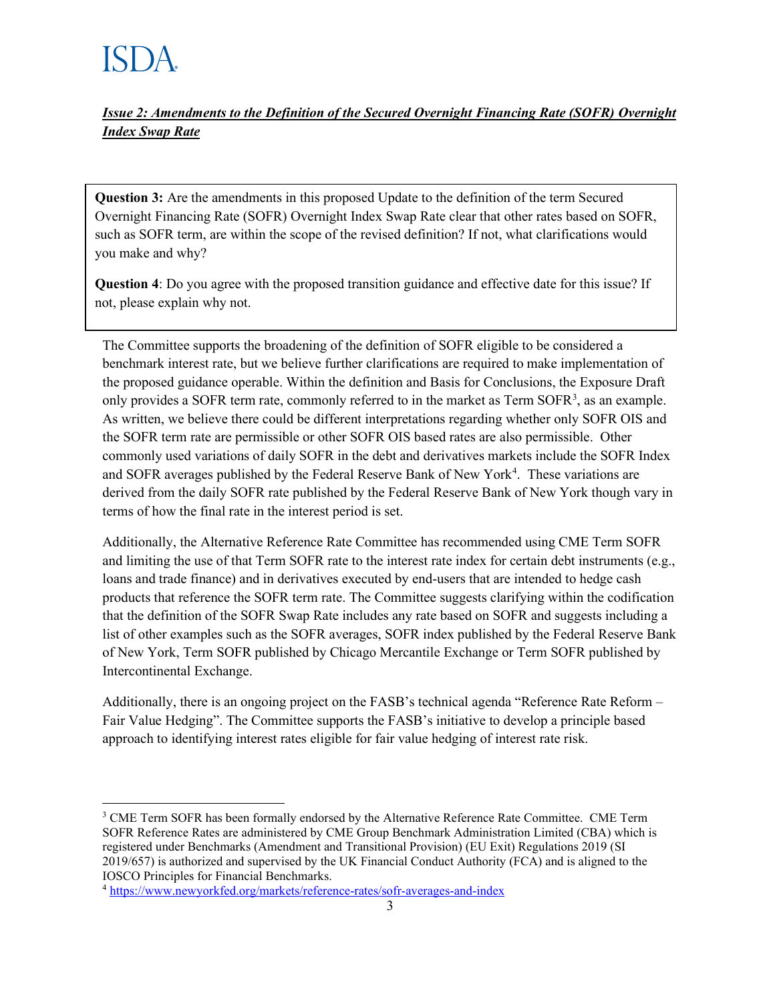*Issue 2: Amendments to the Definition of the Secured Overnight Financing Rate (SOFR) Overnight Index Swap Rate*

**Question 3:** Are the amendments in this proposed Update to the definition of the term Secured Overnight Financing Rate (SOFR) Overnight Index Swap Rate clear that other rates based on SOFR, such as SOFR term, are within the scope of the revised definition? If not, what clarifications would you make and why?

**Question 4**: Do you agree with the proposed transition guidance and effective date for this issue? If not, please explain why not.

The Committee supports the broadening of the definition of SOFR eligible to be considered a benchmark interest rate, but we believe further clarifications are required to make implementation of the proposed guidance operable. Within the definition and Basis for Conclusions, the Exposure Draft only provides a SOFR term rate, commonly referred to in the market as Term SOFR<sup>[3](#page-2-0)</sup>, as an example. As written, we believe there could be different interpretations regarding whether only SOFR OIS and the SOFR term rate are permissible or other SOFR OIS based rates are also permissible. Other commonly used variations of daily SOFR in the debt and derivatives markets include the SOFR Index and SOFR averages published by the Federal Reserve Bank of New York<sup>[4](#page-2-1)</sup>. These variations are derived from the daily SOFR rate published by the Federal Reserve Bank of New York though vary in terms of how the final rate in the interest period is set.

Additionally, the Alternative Reference Rate Committee has recommended using CME Term SOFR and limiting the use of that Term SOFR rate to the interest rate index for certain debt instruments (e.g., loans and trade finance) and in derivatives executed by end-users that are intended to hedge cash products that reference the SOFR term rate. The Committee suggests clarifying within the codification that the definition of the SOFR Swap Rate includes any rate based on SOFR and suggests including a list of other examples such as the SOFR averages, SOFR index published by the Federal Reserve Bank of New York, Term SOFR published by Chicago Mercantile Exchange or Term SOFR published by Intercontinental Exchange.

Additionally, there is an ongoing project on the FASB's technical agenda "Reference Rate Reform – Fair Value Hedging". The Committee supports the FASB's initiative to develop a principle based approach to identifying interest rates eligible for fair value hedging of interest rate risk.

<span id="page-2-0"></span><sup>&</sup>lt;sup>3</sup> CME Term SOFR has been formally endorsed by the Alternative Reference Rate Committee. CME Term SOFR Reference Rates are administered by CME Group Benchmark Administration Limited (CBA) which is registered under Benchmarks (Amendment and Transitional Provision) (EU Exit) Regulations 2019 (SI 2019/657) is authorized and supervised by the UK Financial Conduct Authority (FCA) and is aligned to the IOSCO Principles for Financial Benchmarks.

<span id="page-2-1"></span><sup>4</sup> <https://www.newyorkfed.org/markets/reference-rates/sofr-averages-and-index>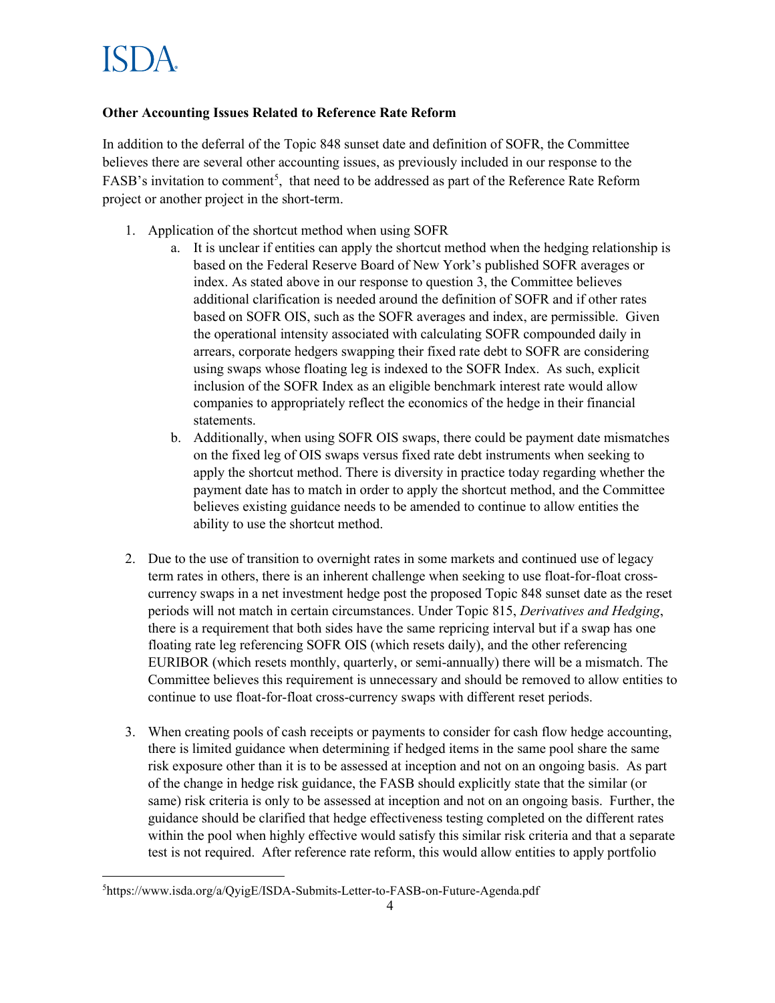## **Other Accounting Issues Related to Reference Rate Reform**

In addition to the deferral of the Topic 848 sunset date and definition of SOFR, the Committee believes there are several other accounting issues, as previously included in our response to the FASB's invitation to comment<sup>[5](#page-3-0)</sup>, that need to be addressed as part of the Reference Rate Reform project or another project in the short-term.

- 1. Application of the shortcut method when using SOFR
	- a. It is unclear if entities can apply the shortcut method when the hedging relationship is based on the Federal Reserve Board of New York's published SOFR averages or index. As stated above in our response to question 3, the Committee believes additional clarification is needed around the definition of SOFR and if other rates based on SOFR OIS, such as the SOFR averages and index, are permissible. Given the operational intensity associated with calculating SOFR compounded daily in arrears, corporate hedgers swapping their fixed rate debt to SOFR are considering using swaps whose floating leg is indexed to the SOFR Index. As such, explicit inclusion of the SOFR Index as an eligible benchmark interest rate would allow companies to appropriately reflect the economics of the hedge in their financial statements.
	- b. Additionally, when using SOFR OIS swaps, there could be payment date mismatches on the fixed leg of OIS swaps versus fixed rate debt instruments when seeking to apply the shortcut method. There is diversity in practice today regarding whether the payment date has to match in order to apply the shortcut method, and the Committee believes existing guidance needs to be amended to continue to allow entities the ability to use the shortcut method.
- 2. Due to the use of transition to overnight rates in some markets and continued use of legacy term rates in others, there is an inherent challenge when seeking to use float-for-float crosscurrency swaps in a net investment hedge post the proposed Topic 848 sunset date as the reset periods will not match in certain circumstances. Under Topic 815, *Derivatives and Hedging*, there is a requirement that both sides have the same repricing interval but if a swap has one floating rate leg referencing SOFR OIS (which resets daily), and the other referencing EURIBOR (which resets monthly, quarterly, or semi-annually) there will be a mismatch. The Committee believes this requirement is unnecessary and should be removed to allow entities to continue to use float-for-float cross-currency swaps with different reset periods.
- 3. When creating pools of cash receipts or payments to consider for cash flow hedge accounting, there is limited guidance when determining if hedged items in the same pool share the same risk exposure other than it is to be assessed at inception and not on an ongoing basis. As part of the change in hedge risk guidance, the FASB should explicitly state that the similar (or same) risk criteria is only to be assessed at inception and not on an ongoing basis. Further, the guidance should be clarified that hedge effectiveness testing completed on the different rates within the pool when highly effective would satisfy this similar risk criteria and that a separate test is not required. After reference rate reform, this would allow entities to apply portfolio

<span id="page-3-0"></span><sup>5</sup> https://www.isda.org/a/QyigE/ISDA-Submits-Letter-to-FASB-on-Future-Agenda.pdf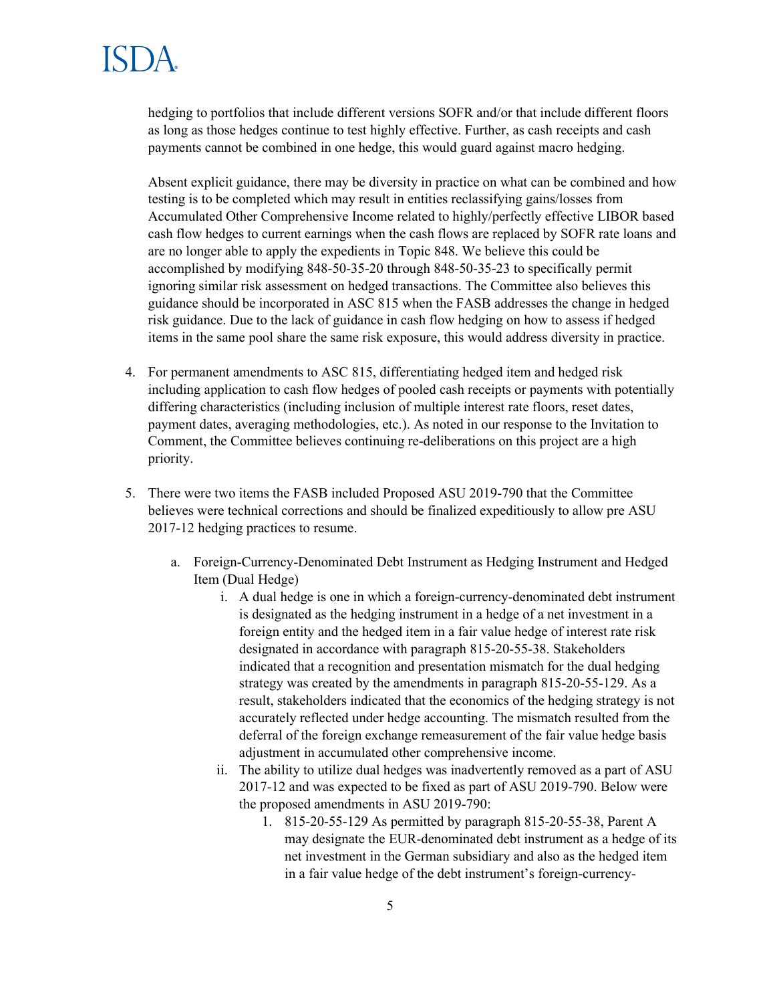hedging to portfolios that include different versions SOFR and/or that include different floors as long as those hedges continue to test highly effective. Further, as cash receipts and cash payments cannot be combined in one hedge, this would guard against macro hedging.

Absent explicit guidance, there may be diversity in practice on what can be combined and how testing is to be completed which may result in entities reclassifying gains/losses from Accumulated Other Comprehensive Income related to highly/perfectly effective LIBOR based cash flow hedges to current earnings when the cash flows are replaced by SOFR rate loans and are no longer able to apply the expedients in Topic 848. We believe this could be accomplished by modifying 848-50-35-20 through 848-50-35-23 to specifically permit ignoring similar risk assessment on hedged transactions. The Committee also believes this guidance should be incorporated in ASC 815 when the FASB addresses the change in hedged risk guidance. Due to the lack of guidance in cash flow hedging on how to assess if hedged items in the same pool share the same risk exposure, this would address diversity in practice.

- 4. For permanent amendments to ASC 815, differentiating hedged item and hedged risk including application to cash flow hedges of pooled cash receipts or payments with potentially differing characteristics (including inclusion of multiple interest rate floors, reset dates, payment dates, averaging methodologies, etc.). As noted in our response to the Invitation to Comment, the Committee believes continuing re-deliberations on this project are a high priority.
- 5. There were two items the FASB included Proposed ASU 2019-790 that the Committee believes were technical corrections and should be finalized expeditiously to allow pre ASU 2017-12 hedging practices to resume.
	- a. Foreign-Currency-Denominated Debt Instrument as Hedging Instrument and Hedged Item (Dual Hedge)
		- i. A dual hedge is one in which a foreign-currency-denominated debt instrument is designated as the hedging instrument in a hedge of a net investment in a foreign entity and the hedged item in a fair value hedge of interest rate risk designated in accordance with paragraph 815-20-55-38. Stakeholders indicated that a recognition and presentation mismatch for the dual hedging strategy was created by the amendments in paragraph 815-20-55-129. As a result, stakeholders indicated that the economics of the hedging strategy is not accurately reflected under hedge accounting. The mismatch resulted from the deferral of the foreign exchange remeasurement of the fair value hedge basis adjustment in accumulated other comprehensive income.
		- ii. The ability to utilize dual hedges was inadvertently removed as a part of ASU 2017-12 and was expected to be fixed as part of ASU 2019-790. Below were the proposed amendments in ASU 2019-790:
			- 1. 815-20-55-129 As permitted by paragraph 815-20-55-38, Parent A may designate the EUR-denominated debt instrument as a hedge of its net investment in the German subsidiary and also as the hedged item in a fair value hedge of the debt instrument's foreign-currency-